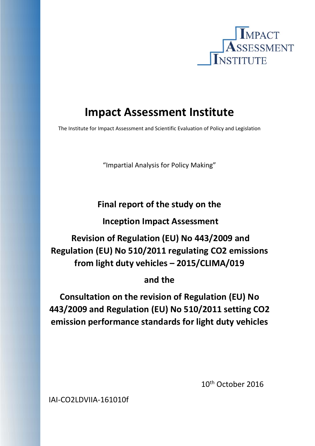

# **Impact Assessment Institute**

The Institute for Impact Assessment and Scientific Evaluation of Policy and Legislation

"Impartial Analysis for Policy Making"

**Final report of the study on the** 

 **Inception Impact Assessment** 

 **Revision of Regulation (EU) No 443/2009 and Regulation (EU) No 510/2011 regulating CO2 emissions from light duty vehicles – 2015/CLIMA/019** 

# **and the**

**Consultation on the revision of Regulation (EU) No 443/2009 and Regulation (EU) No 510/2011 setting CO2 emission performance standards for light duty vehicles** 

 10th October 2016

IAI‐CO2LDVIIA‐161010f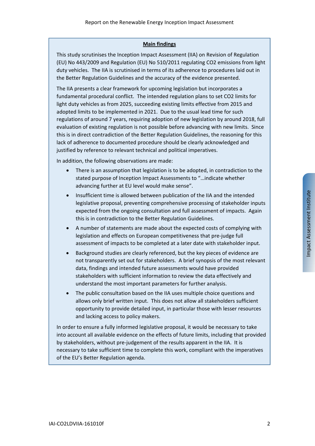#### **Main findings**

This study scrutinises the Inception Impact Assessment (IIA) on Revision of Regulation (EU) No 443/2009 and Regulation (EU) No 510/2011 regulating CO2 emissions from light duty vehicles. The IIA is scrutinised in terms of its adherence to procedures laid out in the Better Regulation Guidelines and the accuracy of the evidence presented.

The IIA presents a clear framework for upcoming legislation but incorporates a fundamental procedural conflict. The intended regulation plans to set CO2 limits for light duty vehicles as from 2025, succeeding existing limits effective from 2015 and adopted limits to be implemented in 2021. Due to the usual lead time for such regulations of around 7 years, requiring adoption of new legislation by around 2018, full evaluation of existing regulation is not possible before advancing with new limits. Since this is in direct contradiction of the Better Regulation Guidelines, the reasoning for this lack of adherence to documented procedure should be clearly acknowledged and justified by reference to relevant technical and political imperatives.

In addition, the following observations are made:

- There is an assumption that legislation is to be adopted, in contradiction to the stated purpose of Inception Impact Assessments to "…indicate whether advancing further at EU level would make sense".
- Insufficient time is allowed between publication of the IIA and the intended legislative proposal, preventing comprehensive processing of stakeholder inputs expected from the ongoing consultation and full assessment of impacts. Again this is in contradiction to the Better Regulation Guidelines.
- A number of statements are made about the expected costs of complying with legislation and effects on European competitiveness that pre‐judge full assessment of impacts to be completed at a later date with stakeholder input.
- Background studies are clearly referenced, but the key pieces of evidence are not transparently set out for stakeholders. A brief synopsis of the most relevant data, findings and intended future assessments would have provided stakeholders with sufficient information to review the data effectively and understand the most important parameters for further analysis.
- The public consultation based on the IIA uses multiple choice questions and allows only brief written input. This does not allow all stakeholders sufficient opportunity to provide detailed input, in particular those with lesser resources and lacking access to policy makers.

In order to ensure a fully informed legislative proposal, it would be necessary to take into account all available evidence on the effects of future limits, including that provided by stakeholders, without pre‐judgement of the results apparent in the IIA. It is necessary to take sufficient time to complete this work, compliant with the imperatives of the EU's Better Regulation agenda.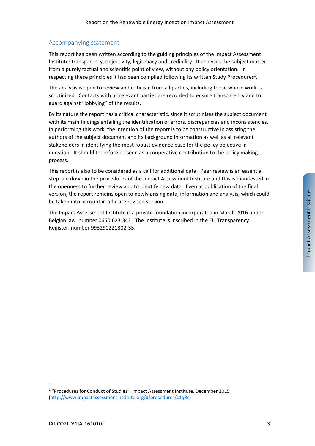#### Accompanying statement

This report has been written according to the guiding principles of the Impact Assessment Institute: transparency, objectivity, legitimacy and credibility. It analyses the subject matter from a purely factual and scientific point of view, without any policy orientation. In respecting these principles it has been compiled following its written Study Procedures<sup>1</sup>.

The analysis is open to review and criticism from all parties, including those whose work is scrutinised. Contacts with all relevant parties are recorded to ensure transparency and to guard against "lobbying" of the results.

By its nature the report has a critical characteristic, since it scrutinises the subject document with its main findings entailing the identification of errors, discrepancies and inconsistencies. In performing this work, the intention of the report is to be constructive in assisting the authors of the subject document and its background information as well as all relevant stakeholders in identifying the most robust evidence base for the policy objective in question. It should therefore be seen as a cooperative contribution to the policy making process.

This report is also to be considered as a call for additional data. Peer review is an essential step laid down in the procedures of the Impact Assessment Institute and this is manifested in the openness to further review and to identify new data. Even at publication of the final version, the report remains open to newly arising data, information and analysis, which could be taken into account in a future revised version.

The Impact Assessment Institute is a private foundation incorporated in March 2016 under Belgian law, number 0650.623.342. The Institute is inscribed in the EU Transparency Register, number 993290221302‐35.

<sup>&</sup>lt;sup>1</sup> "Procedures for Conduct of Studies", Impact Assessment Institute, December 2015 (http://www.impactassessmentinstitute.org/#!procedures/c1q8c)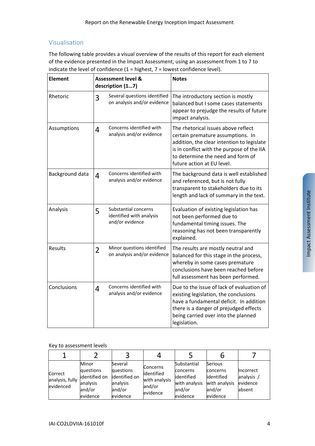# Visualisation

The following table provides a visual overview of the results of this report for each element of the evidence presented in the Impact Assessment, using an assessment from 1 to 7 to indicate the level of confidence  $(1 =$  highest,  $7 =$  lowest confidence level).

| <b>Element</b>  |                | <b>Assessment level &amp;</b><br>description (17)                   | <b>Notes</b>                                                                                                                                                                                                                            |  |  |
|-----------------|----------------|---------------------------------------------------------------------|-----------------------------------------------------------------------------------------------------------------------------------------------------------------------------------------------------------------------------------------|--|--|
| Rhetoric        | 3              | Several questions identified<br>on analysis and/or evidence         | The introductory section is mostly<br>balanced but I some cases statements<br>appear to prejudge the results of future<br>impact analysis.                                                                                              |  |  |
| Assumptions     | 4              | Concerns identified with<br>analysis and/or evidence                | The rhetorical issues above reflect<br>certain premature assumptions. In<br>addition, the clear intention to legislate<br>is in conflict with the purpose of the IIA<br>to determine the need and form of<br>future action at EU level. |  |  |
| Background data | $\overline{4}$ | Concerns identified with<br>analysis and/or evidence                | The background data is well established<br>and referenced, but is not fully<br>transparent to stakeholders due to its<br>length and lack of summary in the text.                                                                        |  |  |
| Analysis        | 5              | Substantial concerns<br>identified with analysis<br>and/or evidence | Evaluation of existing legislation has<br>not been performed due to<br>fundamental timing issues. The<br>reasoning has not been transparently<br>explained.                                                                             |  |  |
| <b>Results</b>  | $\overline{2}$ | Minor questions identified<br>on analysis and/or evidence           | The results are mostly neutral and<br>balanced for this stage in the process,<br>whereby in some cases premature<br>conclusions have been reached before<br>full assessment has been performed.                                         |  |  |
| Conclusions     | 4              | Concerns identified with<br>analysis and/or evidence                | Due to the issue of lack of evaluation of<br>existing legislation, the conclusions<br>have a fundamental deficit. In addition<br>there is a danger of prejudged effects<br>being carried over into the planned<br>legislation.          |  |  |

#### Key to assessment levels

| Correct<br>analysis, fully<br>evidenced | Minor<br>questions<br>identified on<br>analysis<br>and/or<br>evidence | Several<br>questions<br>identified on<br>analysis<br>and/or<br>evidence | <b>Concerns</b><br>identified<br>with analysis<br>and/or<br>evidence | Substantial<br>concerns<br>lidentified<br>with analysis<br>and/or<br>evidence | Serious<br>concerns<br>identified<br>with analysis<br>and/or<br>evidence | Incorrect<br>analysis<br>evidence<br>absent |
|-----------------------------------------|-----------------------------------------------------------------------|-------------------------------------------------------------------------|----------------------------------------------------------------------|-------------------------------------------------------------------------------|--------------------------------------------------------------------------|---------------------------------------------|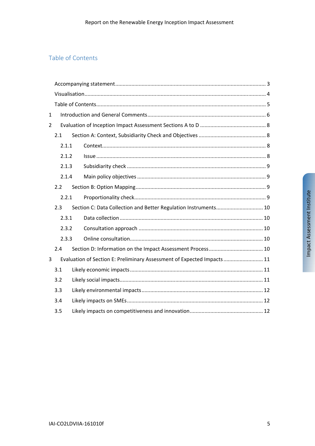# Table of Contents

| $\mathbf 1$    |       |  |                                                                         |  |  |  |  |  |  |  |
|----------------|-------|--|-------------------------------------------------------------------------|--|--|--|--|--|--|--|
| $\overline{2}$ |       |  |                                                                         |  |  |  |  |  |  |  |
|                | 2.1   |  |                                                                         |  |  |  |  |  |  |  |
|                | 2.1.1 |  |                                                                         |  |  |  |  |  |  |  |
|                | 2.1.2 |  |                                                                         |  |  |  |  |  |  |  |
|                | 2.1.3 |  |                                                                         |  |  |  |  |  |  |  |
|                | 2.1.4 |  |                                                                         |  |  |  |  |  |  |  |
|                | 2.2   |  |                                                                         |  |  |  |  |  |  |  |
|                | 2.2.1 |  |                                                                         |  |  |  |  |  |  |  |
|                | 2.3   |  | Section C: Data Collection and Better Regulation Instruments 10         |  |  |  |  |  |  |  |
|                | 2.3.1 |  |                                                                         |  |  |  |  |  |  |  |
| 2.3.2<br>2.3.3 |       |  |                                                                         |  |  |  |  |  |  |  |
|                |       |  |                                                                         |  |  |  |  |  |  |  |
|                | 2.4   |  |                                                                         |  |  |  |  |  |  |  |
| 3              |       |  | Evaluation of Section E: Preliminary Assessment of Expected Impacts  11 |  |  |  |  |  |  |  |
|                | 3.1   |  |                                                                         |  |  |  |  |  |  |  |
|                | 3.2   |  |                                                                         |  |  |  |  |  |  |  |
|                | 3.3   |  |                                                                         |  |  |  |  |  |  |  |
|                | 3.4   |  |                                                                         |  |  |  |  |  |  |  |
|                | 3.5   |  |                                                                         |  |  |  |  |  |  |  |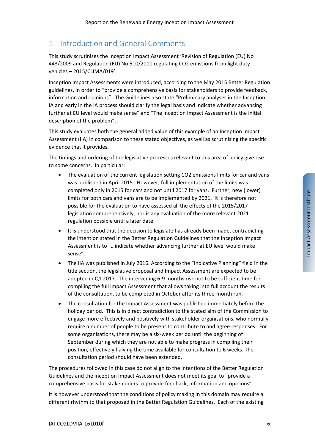# 1 Introduction and General Comments

This study scrutinises the Inception Impact Assessment 'Revision of Regulation (EU) No 443/2009 and Regulation (EU) No 510/2011 regulating CO2 emissions from light duty vehicles – 2015/CLIMA/019'.

Inception Impact Assessments were introduced, according to the May 2015 Better Regulation guidelines, in order to "provide a comprehensive basis for stakeholders to provide feedback, information and opinions". The Guidelines also state "Preliminary analyses in the Inception IA and early in the IA process should clarify the legal basis and indicate whether advancing further at EU level would make sense" and "The inception Impact Assessment is the initial description of the problem".

This study evaluates both the general added value of this example of an Inception Impact Assessment (IIA) in comparison to these stated objectives, as well as scrutinising the specific evidence that it provides.

The timings and ordering of the legislative processes relevant to this area of policy give rise to some concerns. In particular:

- The evaluation of the current legislation setting CO2 emissions limits for car and vans was published in April 2015. However, full implementation of the limits was completed only in 2015 for cars and not until 2017 for vans. Further, new (lower) limits for both cars and vans are to be implemented by 2021. It is therefore not possible for the evaluation to have assessed all the effects of the 2015/2017 legislation comprehensively, nor is any evaluation of the more relevant 2021 regulation possible until a later date.
- It is understood that the decision to legislate has already been made, contradicting the intention stated in the Better Regulation Guidelines that the Inception Impact Assessment is to "…indicate whether advancing further at EU level would make sense".
- The IIA was published in July 2016. According to the "Indicative Planning" field in the title section, the legislative proposal and Impact Assessment are expected to be adopted in Q1 2017. The intervening 6‐9 months risk not to be sufficient time for compiling the full impact Assessment that allows taking into full account the results of the consultation, to be completed in October after its three‐month run.
- The consultation for the Impact Assessment was published immediately before the holiday period. This is in direct contradiction to the stated aim of the Commission to engage more effectively and positively with stakeholder organisations, who normally require a number of people to be present to contribute to and agree responses. For some organisations, there may be a six‐week period until the beginning of September during which they are not able to make progress in compiling their position, effectively halving the time available for consultation to 6 weeks. The consultation period should have been extended.

The procedures followed in this case do not align to the intentions of the Better Regulation Guidelines and the Inception Impact Assessment does not meet its goal to "provide a comprehensive basis for stakeholders to provide feedback, information and opinions".

It is however understood that the conditions of policy making in this domain may require a different rhythm to that proposed in the Better Regulation Guidelines. Each of the existing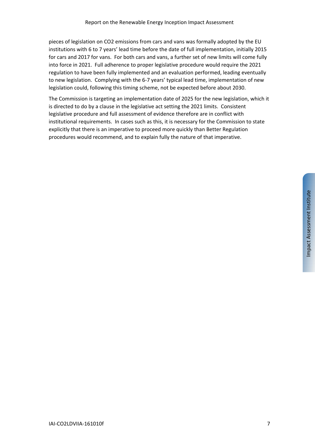pieces of legislation on CO2 emissions from cars and vans was formally adopted by the EU institutions with 6 to 7 years' lead time before the date of full implementation, initially 2015 for cars and 2017 for vans. For both cars and vans, a further set of new limits will come fully into force in 2021. Full adherence to proper legislative procedure would require the 2021 regulation to have been fully implemented and an evaluation performed, leading eventually to new legislation. Complying with the 6‐7 years' typical lead time, implementation of new legislation could, following this timing scheme, not be expected before about 2030.

The Commission is targeting an implementation date of 2025 for the new legislation, which it is directed to do by a clause in the legislative act setting the 2021 limits. Consistent legislative procedure and full assessment of evidence therefore are in conflict with institutional requirements. In cases such as this, it is necessary for the Commission to state explicitly that there is an imperative to proceed more quickly than Better Regulation procedures would recommend, and to explain fully the nature of that imperative.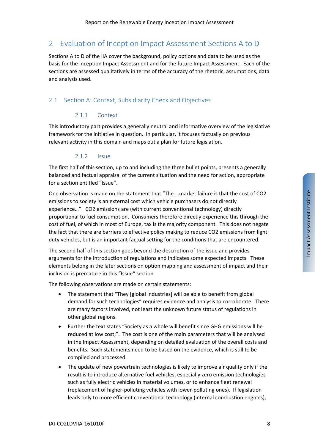# 2 Evaluation of Inception Impact Assessment Sections A to D

Sections A to D of the IIA cover the background, policy options and data to be used as the basis for the Inception Impact Assessment and for the future Impact Assessment. Each of the sections are assessed qualitatively in terms of the accuracy of the rhetoric, assumptions, data and analysis used.

# 2.1 Section A: Context, Subsidiarity Check and Objectives

## 2.1.1 Context

This introductory part provides a generally neutral and informative overview of the legislative framework for the initiative in question. In particular, it focuses factually on previous relevant activity in this domain and maps out a plan for future legislation.

#### 2.1.2 Issue

The first half of this section, up to and including the three bullet points, presents a generally balanced and factual appraisal of the current situation and the need for action, appropriate for a section entitled "Issue".

One observation is made on the statement that "The….market failure is that the cost of CO2 emissions to society is an external cost which vehicle purchasers do not directly experience…". CO2 emissions are (with current conventional technology) directly proportional to fuel consumption. Consumers therefore directly experience this through the cost of fuel, of which in most of Europe, tax is the majority component. This does not negate the fact that there are barriers to effective policy making to reduce CO2 emissions from light duty vehicles, but is an important factual setting for the conditions that are encountered.

The second half of this section goes beyond the description of the issue and provides arguments for the introduction of regulations and indicates some expected impacts. These elements belong in the later sections on option mapping and assessment of impact and their inclusion is premature in this "Issue" section.

The following observations are made on certain statements:

- The statement that "They [global industries] will be able to benefit from global demand for such technologies" requires evidence and analysis to corroborate. There are many factors involved, not least the unknown future status of regulations in other global regions.
- Further the text states "Society as a whole will benefit since GHG emissions will be reduced at low cost;". The cost is one of the main parameters that will be analysed in the Impact Assessment, depending on detailed evaluation of the overall costs and benefits. Such statements need to be based on the evidence, which is still to be compiled and processed.
- The update of new powertrain technologies is likely to improve air quality only if the result is to introduce alternative fuel vehicles, especially zero emission technologies such as fully electric vehicles in material volumes, or to enhance fleet renewal (replacement of higher‐polluting vehicles with lower‐polluting ones). If legislation leads only to more efficient conventional technology (internal combustion engines),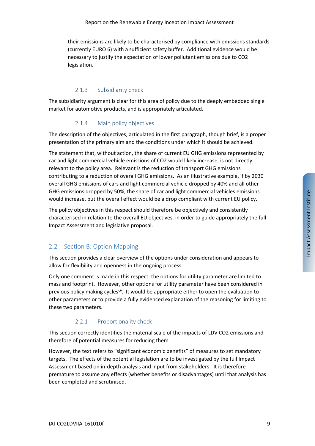their emissions are likely to be characterised by compliance with emissions standards (currently EURO 6) with a sufficient safety buffer. Additional evidence would be necessary to justify the expectation of lower pollutant emissions due to CO2 legislation.

# 2.1.3 Subsidiarity check

The subsidiarity argument is clear for this area of policy due to the deeply embedded single market for automotive products, and is appropriately articulated.

#### 2.1.4 Main policy objectives

The description of the objectives, articulated in the first paragraph, though brief, is a proper presentation of the primary aim and the conditions under which it should be achieved.

The statement that, without action, the share of current EU GHG emissions represented by car and light commercial vehicle emissions of CO2 would likely increase, is not directly relevant to the policy area. Relevant is the reduction of transport GHG emissions contributing to a reduction of overall GHG emissions. As an illustrative example, if by 2030 overall GHG emissions of cars and light commercial vehicle dropped by 40% and all other GHG emissions dropped by 50%, the share of car and light commercial vehicles emissions would increase, but the overall effect would be a drop compliant with current EU policy.

The policy objectives in this respect should therefore be objectively and consistently characterised in relation to the overall EU objectives, in order to guide appropriately the full Impact Assessment and legislative proposal.

# 2.2 Section B: Option Mapping

This section provides a clear overview of the options under consideration and appears to allow for flexibility and openness in the ongoing process.

Only one comment is made in this respect: the options for utility parameter are limited to mass and footprint. However, other options for utility parameter have been considered in previous policy making cycles<sup>i,ii</sup>. It would be appropriate either to open the evaluation to other parameters or to provide a fully evidenced explanation of the reasoning for limiting to these two parameters.

# 2.2.1 Proportionality check

This section correctly identifies the material scale of the impacts of LDV CO2 emissions and therefore of potential measures for reducing them.

However, the text refers to "significant economic benefits" of measures to set mandatory targets. The effects of the potential legislation are to be investigated by the full Impact Assessment based on in‐depth analysis and input from stakeholders. It is therefore premature to assume any effects (whether benefits or disadvantages) until that analysis has been completed and scrutinised.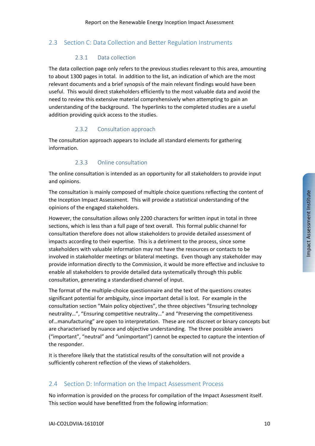## 2.3 Section C: Data Collection and Better Regulation Instruments

#### 2.3.1 Data collection

The data collection page only refers to the previous studies relevant to this area, amounting to about 1300 pages in total. In addition to the list, an indication of which are the most relevant documents and a brief synopsis of the main relevant findings would have been useful. This would direct stakeholders efficiently to the most valuable data and avoid the need to review this extensive material comprehensively when attempting to gain an understanding of the background. The hyperlinks to the completed studies are a useful addition providing quick access to the studies.

#### 2.3.2 Consultation approach

The consultation approach appears to include all standard elements for gathering information.

#### 2.3.3 Online consultation

The online consultation is intended as an opportunity for all stakeholders to provide input and opinions.

The consultation is mainly composed of multiple choice questions reflecting the content of the Inception Impact Assessment. This will provide a statistical understanding of the opinions of the engaged stakeholders.

However, the consultation allows only 2200 characters for written input in total in three sections, which is less than a full page of text overall. This formal public channel for consultation therefore does not allow stakeholders to provide detailed assessment of impacts according to their expertise. This is a detriment to the process, since some stakeholders with valuable information may not have the resources or contacts to be involved in stakeholder meetings or bilateral meetings. Even though any stakeholder may provide information directly to the Commission, it would be more effective and inclusive to enable all stakeholders to provide detailed data systematically through this public consultation, generating a standardised channel of input.

The format of the multiple‐choice questionnaire and the text of the questions creates significant potential for ambiguity, since important detail is lost. For example in the consultation section "Main policy objectives", the three objectives "Ensuring technology neutrality…", "Ensuring competitive neutrality…" and "Preserving the competitiveness of…manufacturing" are open to interpretation. These are not discreet or binary concepts but are characterised by nuance and objective understanding. The three possible answers ("important", "neutral" and "unimportant") cannot be expected to capture the intention of the responder.

It is therefore likely that the statistical results of the consultation will not provide a sufficiently coherent reflection of the views of stakeholders.

#### 2.4 Section D: Information on the Impact Assessment Process

No information is provided on the process for compilation of the Impact Assessment itself. This section would have benefitted from the following information: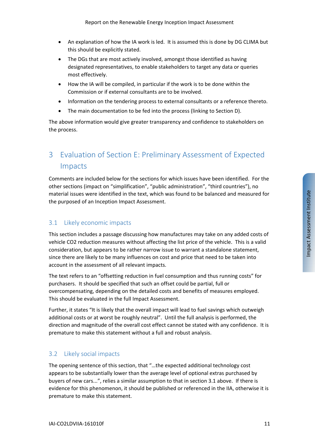- An explanation of how the IA work is led. It is assumed this is done by DG CLIMA but this should be explicitly stated.
- The DGs that are most actively involved, amongst those identified as having designated representatives, to enable stakeholders to target any data or queries most effectively.
- How the IA will be compiled, in particular if the work is to be done within the Commission or if external consultants are to be involved.
- Information on the tendering process to external consultants or a reference thereto.
- The main documentation to be fed into the process (linking to Section D).

The above information would give greater transparency and confidence to stakeholders on the process.

# 3 Evaluation of Section E: Preliminary Assessment of Expected Impacts

Comments are included below for the sections for which issues have been identified. For the other sections (impact on "simplification", "public administration", "third countries"), no material issues were identified in the text, which was found to be balanced and measured for the purposed of an Inception Impact Assessment.

#### 3.1 Likely economic impacts

This section includes a passage discussing how manufactures may take on any added costs of vehicle CO2 reduction measures without affecting the list price of the vehicle. This is a valid consideration, but appears to be rather narrow issue to warrant a standalone statement, since there are likely to be many influences on cost and price that need to be taken into account in the assessment of all relevant impacts.

The text refers to an "offsetting reduction in fuel consumption and thus running costs" for purchasers. It should be specified that such an offset could be partial, full or overcompensating, depending on the detailed costs and benefits of measures employed. This should be evaluated in the full Impact Assessment.

Further, it states "It is likely that the overall impact will lead to fuel savings which outweigh additional costs or at worst be roughly neutral". Until the full analysis is performed, the direction and magnitude of the overall cost effect cannot be stated with any confidence. It is premature to make this statement without a full and robust analysis.

#### 3.2 Likely social impacts

The opening sentence of this section, that "…the expected additional technology cost appears to be substantially lower than the average level of optional extras purchased by buyers of new cars...", relies a similar assumption to that in section 3.1 above. If there is evidence for this phenomenon, it should be published or referenced in the IIA, otherwise it is premature to make this statement.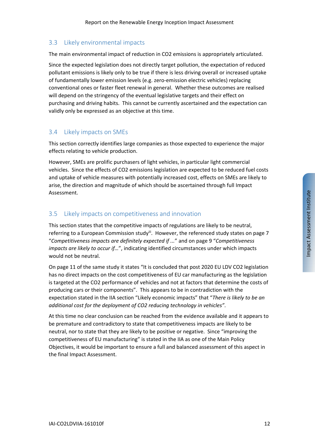# 3.3 Likely environmental impacts

The main environmental impact of reduction in CO2 emissions is appropriately articulated.

Since the expected legislation does not directly target pollution, the expectation of reduced pollutant emissions is likely only to be true if there is less driving overall or increased uptake of fundamentally lower emission levels (e.g. zero‐emission electric vehicles) replacing conventional ones or faster fleet renewal in general. Whether these outcomes are realised will depend on the stringency of the eventual legislative targets and their effect on purchasing and driving habits. This cannot be currently ascertained and the expectation can validly only be expressed as an objective at this time.

## 3.4 Likely impacts on SMEs

This section correctly identifies large companies as those expected to experience the major effects relating to vehicle production.

However, SMEs are prolific purchasers of light vehicles, in particular light commercial vehicles. Since the effects of CO2 emissions legislation are expected to be reduced fuel costs and uptake of vehicle measures with potentially increased cost, effects on SMEs are likely to arise, the direction and magnitude of which should be ascertained through full Impact Assessment.

## 3.5 Likely impacts on competitiveness and innovation

This section states that the competitive impacts of regulations are likely to be neutral, referring to a European Commission studyii. However, the referenced study states on page 7 "*Competitiveness impacts are definitely expected if ...*" and on page 9 "*Competitiveness impacts are likely to occur if…*", indicating identified circumstances under which impacts would not be neutral.

On page 11 of the same study it states "It is concluded that post 2020 EU LDV CO2 legislation has no direct impacts on the cost competitiveness of EU car manufacturing as the legislation is targeted at the CO2 performance of vehicles and not at factors that determine the costs of producing cars or their components". This appears to be in contradiction with the expectation stated in the IIA section "Likely economic impacts" that "*There is likely to be an additional cost for the deployment of CO2 reducing technology in vehicles"*.

At this time no clear conclusion can be reached from the evidence available and it appears to be premature and contradictory to state that competitiveness impacts are likely to be neutral, nor to state that they are likely to be positive or negative. Since "improving the competitiveness of EU manufacturing" is stated in the IIA as one of the Main Policy Objectives, it would be important to ensure a full and balanced assessment of this aspect in the final Impact Assessment.